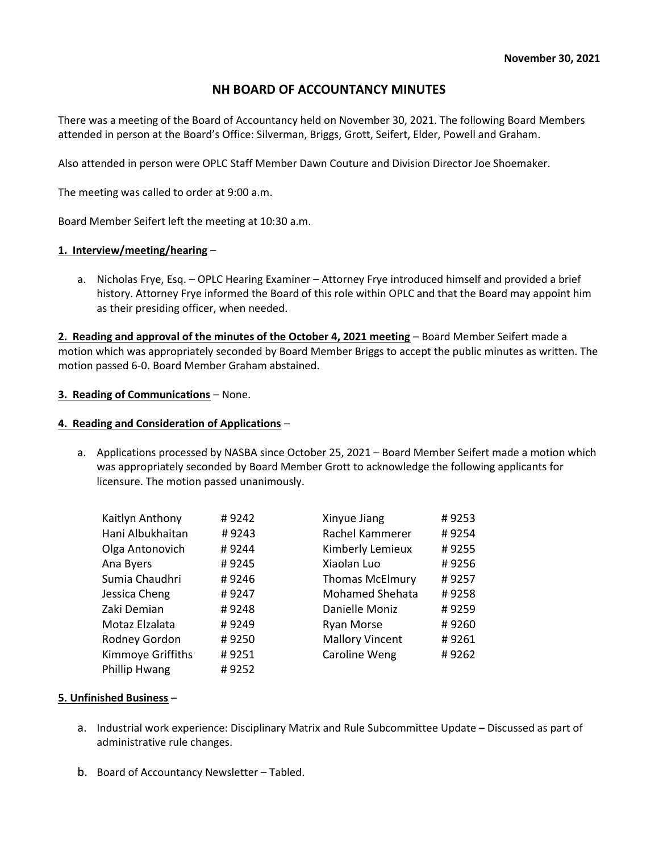# NH BOARD OF ACCOUNTANCY MINUTES

There was a meeting of the Board of Accountancy held on November 30, 2021. The following Board Members attended in person at the Board's Office: Silverman, Briggs, Grott, Seifert, Elder, Powell and Graham.

Also attended in person were OPLC Staff Member Dawn Couture and Division Director Joe Shoemaker.

The meeting was called to order at 9:00 a.m.

Board Member Seifert left the meeting at 10:30 a.m.

### 1. Interview/meeting/hearing –

a. Nicholas Frye, Esq. – OPLC Hearing Examiner – Attorney Frye introduced himself and provided a brief history. Attorney Frye informed the Board of this role within OPLC and that the Board may appoint him as their presiding officer, when needed.

2. Reading and approval of the minutes of the October 4, 2021 meeting – Board Member Seifert made a motion which was appropriately seconded by Board Member Briggs to accept the public minutes as written. The motion passed 6-0. Board Member Graham abstained.

### 3. Reading of Communications – None.

### 4. Reading and Consideration of Applications –

a. Applications processed by NASBA since October 25, 2021 – Board Member Seifert made a motion which was appropriately seconded by Board Member Grott to acknowledge the following applicants for licensure. The motion passed unanimously.

| Kaitlyn Anthony   | #9242 | Xinyue Jiang           | #9253 |
|-------------------|-------|------------------------|-------|
| Hani Albukhaitan  | #9243 | Rachel Kammerer        | #9254 |
| Olga Antonovich   | #9244 | Kimberly Lemieux       | #9255 |
| Ana Byers         | #9245 | Xiaolan Luo            | #9256 |
| Sumia Chaudhri    | #9246 | <b>Thomas McElmury</b> | #9257 |
| Jessica Cheng     | #9247 | <b>Mohamed Shehata</b> | #9258 |
| Zaki Demian       | #9248 | Danielle Moniz         | #9259 |
| Motaz Elzalata    | #9249 | Ryan Morse             | #9260 |
| Rodney Gordon     | #9250 | <b>Mallory Vincent</b> | #9261 |
| Kimmoye Griffiths | #9251 | Caroline Weng          | #9262 |
| Phillip Hwang     | #9252 |                        |       |

## 5. Unfinished Business –

- a. Industrial work experience: Disciplinary Matrix and Rule Subcommittee Update Discussed as part of administrative rule changes.
- b. Board of Accountancy Newsletter Tabled.